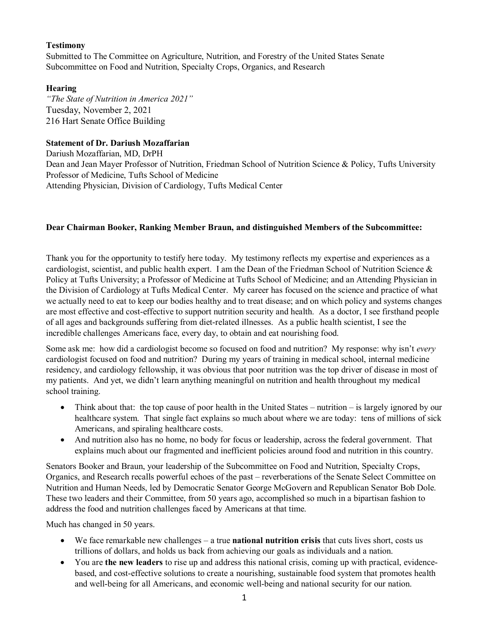# **Testimony**

Submitted to The Committee on Agriculture, Nutrition, and Forestry of the United States Senate Subcommittee on Food and Nutrition, Specialty Crops, Organics, and Research

# **Hearing**

*"The State of Nutrition in America 2021"*  Tuesday, November 2, 2021 216 Hart Senate Office Building

# **Statement of Dr. Dariush Mozaffarian**

Dariush Mozaffarian, MD, DrPH Dean and Jean Mayer Professor of Nutrition, Friedman School of Nutrition Science & Policy, Tufts University Professor of Medicine, Tufts School of Medicine Attending Physician, Division of Cardiology, Tufts Medical Center

### **Dear Chairman Booker, Ranking Member Braun, and distinguished Members of the Subcommittee:**

Thank you for the opportunity to testify here today. My testimony reflects my expertise and experiences as a cardiologist, scientist, and public health expert. I am the Dean of the Friedman School of Nutrition Science & Policy at Tufts University; a Professor of Medicine at Tufts School of Medicine; and an Attending Physician in the Division of Cardiology at Tufts Medical Center. My career has focused on the science and practice of what we actually need to eat to keep our bodies healthy and to treat disease; and on which policy and systems changes are most effective and cost-effective to support nutrition security and health. As a doctor, I see firsthand people of all ages and backgrounds suffering from diet-related illnesses. As a public health scientist, I see the incredible challenges Americans face, every day, to obtain and eat nourishing food.

Some ask me: how did a cardiologist become so focused on food and nutrition? My response: why isn't *every* cardiologist focused on food and nutrition? During my years of training in medical school, internal medicine residency, and cardiology fellowship, it was obvious that poor nutrition was the top driver of disease in most of my patients. And yet, we didn't learn anything meaningful on nutrition and health throughout my medical school training.

- Think about that: the top cause of poor health in the United States nutrition is largely ignored by our healthcare system. That single fact explains so much about where we are today: tens of millions of sick Americans, and spiraling healthcare costs.
- And nutrition also has no home, no body for focus or leadership, across the federal government. That explains much about our fragmented and inefficient policies around food and nutrition in this country.

Senators Booker and Braun, your leadership of the Subcommittee on Food and Nutrition, Specialty Crops, Organics, and Research recalls powerful echoes of the past – reverberations of the Senate Select Committee on Nutrition and Human Needs, led by Democratic Senator George McGovern and Republican Senator Bob Dole. These two leaders and their Committee, from 50 years ago, accomplished so much in a bipartisan fashion to address the food and nutrition challenges faced by Americans at that time.

Much has changed in 50 years.

- We face remarkable new challenges a true **national nutrition crisis** that cuts lives short, costs us trillions of dollars, and holds us back from achieving our goals as individuals and a nation.
- You are **the new leaders** to rise up and address this national crisis, coming up with practical, evidencebased, and cost-effective solutions to create a nourishing, sustainable food system that promotes health and well-being for all Americans, and economic well-being and national security for our nation.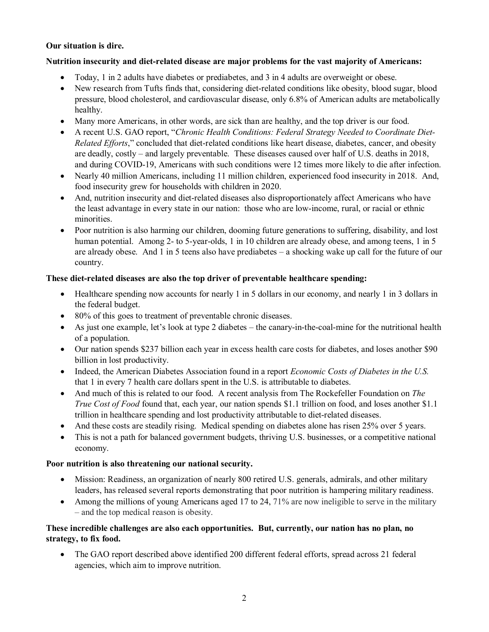# **Our situation is dire.**

## **Nutrition insecurity and diet-related disease are major problems for the vast majority of Americans:**

- Today, 1 in 2 adults have diabetes or prediabetes, and 3 in 4 adults are overweight or obese.
- New research from Tufts finds that, considering diet-related conditions like obesity, blood sugar, blood pressure, blood cholesterol, and cardiovascular disease, only 6.8% of American adults are metabolically healthy.
- Many more Americans, in other words, are sick than are healthy, and the top driver is our food.
- A recent U.S. GAO report, "*Chronic Health Conditions: Federal Strategy Needed to Coordinate Diet-Related Efforts*," concluded that diet-related conditions like heart disease, diabetes, cancer, and obesity are deadly, costly – and largely preventable. These diseases caused over half of U.S. deaths in 2018, and during COVID-19, Americans with such conditions were 12 times more likely to die after infection.
- Nearly 40 million Americans, including 11 million children, experienced food insecurity in 2018. And, food insecurity grew for households with children in 2020.
- And, nutrition insecurity and diet-related diseases also disproportionately affect Americans who have the least advantage in every state in our nation: those who are low-income, rural, or racial or ethnic minorities.
- Poor nutrition is also harming our children, dooming future generations to suffering, disability, and lost human potential. Among 2- to 5-year-olds, 1 in 10 children are already obese, and among teens, 1 in 5 are already obese. And 1 in 5 teens also have prediabetes – a shocking wake up call for the future of our country.

## **These diet-related diseases are also the top driver of preventable healthcare spending:**

- Healthcare spending now accounts for nearly 1 in 5 dollars in our economy, and nearly 1 in 3 dollars in the federal budget.
- 80% of this goes to treatment of preventable chronic diseases.
- As just one example, let's look at type 2 diabetes the canary-in-the-coal-mine for the nutritional health of a population.
- Our nation spends \$237 billion each year in excess health care costs for diabetes, and loses another \$90 billion in lost productivity.
- Indeed, the American Diabetes Association found in a report *Economic Costs of Diabetes in the U.S.* that 1 in every 7 health care dollars spent in the U.S. is attributable to diabetes.
- And much of this is related to our food. A recent analysis from The Rockefeller Foundation on *The True Cost of Food* found that, each year, our nation spends \$1.1 trillion on food, and loses another \$1.1 trillion in healthcare spending and lost productivity attributable to diet-related diseases.
- And these costs are steadily rising. Medical spending on diabetes alone has risen 25% over 5 years.
- This is not a path for balanced government budgets, thriving U.S. businesses, or a competitive national economy.

### **Poor nutrition is also threatening our national security.**

- Mission: Readiness, an organization of nearly 800 retired U.S. generals, admirals, and other military leaders, has released several reports demonstrating that poor nutrition is hampering military readiness.
- Among the millions of young Americans aged 17 to 24, 71% are now ineligible to serve in the military – and the top medical reason is obesity.

# **These incredible challenges are also each opportunities. But, currently, our nation has no plan, no strategy, to fix food.**

• The GAO report described above identified 200 different federal efforts, spread across 21 federal agencies, which aim to improve nutrition.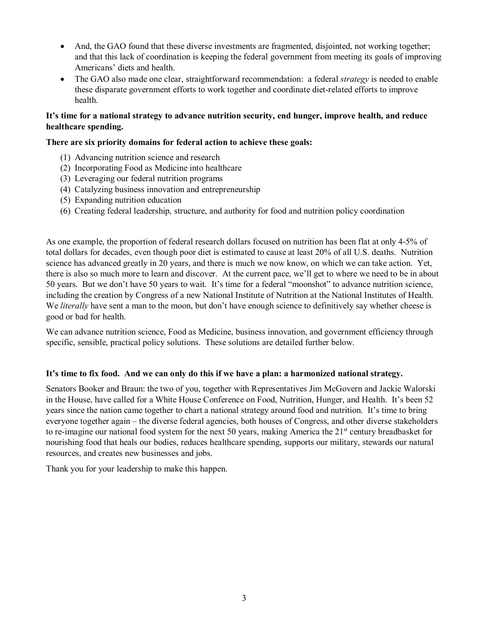- And, the GAO found that these diverse investments are fragmented, disjointed, not working together; and that this lack of coordination is keeping the federal government from meeting its goals of improving Americans' diets and health.
- The GAO also made one clear, straightforward recommendation: a federal *strategy* is needed to enable these disparate government efforts to work together and coordinate diet-related efforts to improve health.

# **It's time for a national strategy to advance nutrition security, end hunger, improve health, and reduce healthcare spending.**

## **There are six priority domains for federal action to achieve these goals:**

- (1) Advancing nutrition science and research
- (2) Incorporating Food as Medicine into healthcare
- (3) Leveraging our federal nutrition programs
- (4) Catalyzing business innovation and entrepreneurship
- (5) Expanding nutrition education
- (6) Creating federal leadership, structure, and authority for food and nutrition policy coordination

As one example, the proportion of federal research dollars focused on nutrition has been flat at only 4-5% of total dollars for decades, even though poor diet is estimated to cause at least 20% of all U.S. deaths. Nutrition science has advanced greatly in 20 years, and there is much we now know, on which we can take action. Yet, there is also so much more to learn and discover. At the current pace, we'll get to where we need to be in about 50 years. But we don't have 50 years to wait. It's time for a federal "moonshot" to advance nutrition science, including the creation by Congress of a new National Institute of Nutrition at the National Institutes of Health. We *literally* have sent a man to the moon, but don't have enough science to definitively say whether cheese is good or bad for health.

We can advance nutrition science, Food as Medicine, business innovation, and government efficiency through specific, sensible, practical policy solutions. These solutions are detailed further below.

### **It's time to fix food. And we can only do this if we have a plan: a harmonized national strategy.**

Senators Booker and Braun: the two of you, together with Representatives Jim McGovern and Jackie Walorski in the House, have called for a White House Conference on Food, Nutrition, Hunger, and Health. It's been 52 years since the nation came together to chart a national strategy around food and nutrition. It's time to bring everyone together again – the diverse federal agencies, both houses of Congress, and other diverse stakeholders to re-imagine our national food system for the next 50 years, making America the  $21<sup>st</sup>$  century breadbasket for nourishing food that heals our bodies, reduces healthcare spending, supports our military, stewards our natural resources, and creates new businesses and jobs.

Thank you for your leadership to make this happen.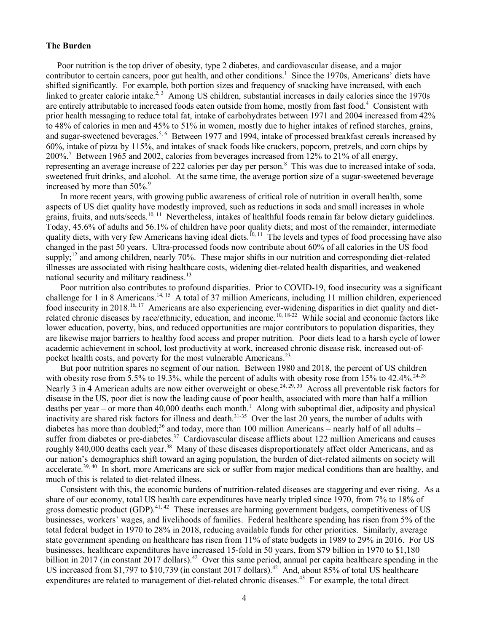#### **The Burden**

 Poor nutrition is the top driver of obesity, type 2 diabetes, and cardiovascular disease, and a major contributor to certain cancers, poor gut health, and other conditions.<sup>1</sup> Since the 1970s, Americans' diets have shifted significantly. For example, both portion sizes and frequency of snacking have increased, with each linked to greater calorie intake.<sup>2, 3</sup> Among US children, substantial increases in daily calories since the 1970s are entirely attributable to increased foods eaten outside from home, mostly from fast food.<sup>4</sup> Consistent with prior health messaging to reduce total fat, intake of carbohydrates between 1971 and 2004 increased from 42% to 48% of calories in men and 45% to 51% in women, mostly due to higher intakes of refined starches, grains, and sugar-sweetened beverages.<sup>5, 6</sup> Between 1977 and 1994, intake of processed breakfast cereals increased by 60%, intake of pizza by 115%, and intakes of snack foods like crackers, popcorn, pretzels, and corn chips by 200%.<sup>7</sup> Between 1965 and 2002, calories from beverages increased from 12% to 21% of all energy, representing an average increase of 222 calories per day per person.<sup>8</sup> This was due to increased intake of soda, sweetened fruit drinks, and alcohol. At the same time, the average portion size of a sugar-sweetened beverage increased by more than  $50\%$ .<sup>9</sup>

In more recent years, with growing public awareness of critical role of nutrition in overall health, some aspects of US diet quality have modestly improved, such as reductions in soda and small increases in whole grains, fruits, and nuts/seeds.<sup>10, 11</sup> Nevertheless, intakes of healthful foods remain far below dietary guidelines. Today, 45.6% of adults and 56.1% of children have poor quality diets; and most of the remainder, intermediate quality diets, with very few Americans having ideal diets.<sup>10, 11</sup> The levels and types of food processing have also changed in the past 50 years. Ultra-processed foods now contribute about 60% of all calories in the US food supply;<sup>12</sup> and among children, nearly 70%. These major shifts in our nutrition and corresponding diet-related illnesses are associated with rising healthcare costs, widening diet-related health disparities, and weakened national security and military readiness. $^{13}$ 

Poor nutrition also contributes to profound disparities. Prior to COVID-19, food insecurity was a significant challenge for 1 in 8 Americans.<sup>14, 15</sup> A total of 37 million Americans, including 11 million children, experienced food insecurity in 2018.16, 17 Americans are also experiencing ever-widening disparities in diet quality and dietrelated chronic diseases by race/ethnicity, education, and income.10, 18-22 While social and economic factors like lower education, poverty, bias, and reduced opportunities are major contributors to population disparities, they are likewise major barriers to healthy food access and proper nutrition. Poor diets lead to a harsh cycle of lower academic achievement in school, lost productivity at work, increased chronic disease risk, increased out-ofpocket health costs, and poverty for the most vulnerable Americans.<sup>23</sup>

But poor nutrition spares no segment of our nation. Between 1980 and 2018, the percent of US children with obesity rose from  $5.5\%$  to 19.3%, while the percent of adults with obesity rose from 15% to 42.4%.<sup>24-28</sup> Nearly 3 in 4 American adults are now either overweight or obese.<sup>24, 29, 30</sup> Across all preventable risk factors for disease in the US, poor diet is now the leading cause of poor health, associated with more than half a million deaths per year – or more than 40,000 deaths each month.<sup>1</sup> Along with suboptimal diet, adiposity and physical inactivity are shared risk factors for illness and death.<sup>31-35</sup> Over the last 20 years, the number of adults with diabetes has more than doubled;<sup>36</sup> and today, more than 100 million Americans – nearly half of all adults – suffer from diabetes or pre-diabetes.<sup>37</sup> Cardiovascular disease afflicts about 122 million Americans and causes roughly 840,000 deaths each year.<sup>38</sup> Many of these diseases disproportionately affect older Americans, and as our nation's demographics shift toward an aging population, the burden of diet-related ailments on society will accelerate.<sup>39, 40</sup> In short, more Americans are sick or suffer from major medical conditions than are healthy, and much of this is related to diet-related illness.

Consistent with this, the economic burdens of nutrition-related diseases are staggering and ever rising. As a share of our economy, total US health care expenditures have nearly tripled since 1970, from 7% to 18% of gross domestic product (GDP).<sup>41, 42</sup> These increases are harming government budgets, competitiveness of US businesses, workers' wages, and livelihoods of families. Federal healthcare spending has risen from 5% of the total federal budget in 1970 to 28% in 2018, reducing available funds for other priorities. Similarly, average state government spending on healthcare has risen from 11% of state budgets in 1989 to 29% in 2016. For US businesses, healthcare expenditures have increased 15-fold in 50 years, from \$79 billion in 1970 to \$1,180 billion in 2017 (in constant 2017 dollars).<sup>42</sup> Over this same period, annual per capita healthcare spending in the US increased from \$1,797 to \$10,739 (in constant 2017 dollars).<sup>42</sup> And, about 85% of total US healthcare expenditures are related to management of diet-related chronic diseases.<sup>43</sup> For example, the total direct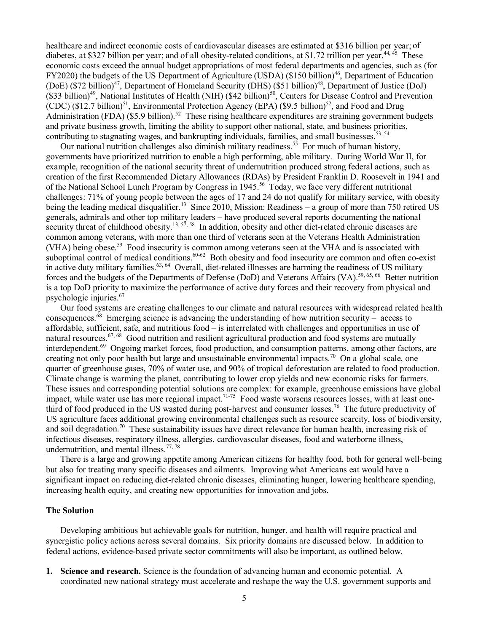healthcare and indirect economic costs of cardiovascular diseases are estimated at \$316 billion per year; of diabetes, at \$327 billion per year; and of all obesity-related conditions, at \$1.72 trillion per year.<sup>44, 45</sup> These economic costs exceed the annual budget appropriations of most federal departments and agencies, such as (for FY2020) the budgets of the US Department of Agriculture (USDA) (\$150 billion)<sup>46</sup>, Department of Education (DoE) (\$72 billion)<sup>47</sup>, Department of Homeland Security (DHS) (\$51 billion)<sup>48</sup>, Department of Justice (DoJ)  $(\$33 billion)^{49}$ , National Institutes of Health (NIH) (\$42 billion)<sup>50</sup>, Centers for Disease Control and Prevention (CDC) (\$12.7 billion)<sup>51</sup>, Environmental Protection Agency (EPA) (\$9.5 billion)<sup>52</sup>, and Food and Drug Administration (FDA) (\$5.9 billion).<sup>52</sup> These rising healthcare expenditures are straining government budgets and private business growth, limiting the ability to support other national, state, and business priorities, contributing to stagnating wages, and bankrupting individuals, families, and small businesses.<sup>53, 54</sup>

Our national nutrition challenges also diminish military readiness.<sup>55</sup> For much of human history, governments have prioritized nutrition to enable a high performing, able military. During World War II, for example, recognition of the national security threat of undernutrition produced strong federal actions, such as creation of the first Recommended Dietary Allowances (RDAs) by President Franklin D. Roosevelt in 1941 and of the National School Lunch Program by Congress in 1945.<sup>56</sup> Today, we face very different nutritional challenges: 71% of young people between the ages of 17 and 24 do not qualify for military service, with obesity being the leading medical disqualifier.<sup>13</sup> Since 2010, Mission: Readiness – a group of more than 750 retired US generals, admirals and other top military leaders – have produced several reports documenting the national security threat of childhood obesity.<sup>13, 57, 58</sup> In addition, obesity and other diet-related chronic diseases are common among veterans, with more than one third of veterans seen at the Veterans Health Administration (VHA) being obese.<sup>59</sup> Food insecurity is common among veterans seen at the VHA and is associated with suboptimal control of medical conditions.<sup>60-62</sup> Both obesity and food insecurity are common and often co-exist in active duty military families.63, 64 Overall, diet-related illnesses are harming the readiness of US military forces and the budgets of the Departments of Defense (DoD) and Veterans Affairs (VA).<sup>59, 65, 66</sup> Better nutrition is a top DoD priority to maximize the performance of active duty forces and their recovery from physical and psychologic injuries.67

Our food systems are creating challenges to our climate and natural resources with widespread related health consequences.<sup>68</sup> Emerging science is advancing the understanding of how nutrition security – access to affordable, sufficient, safe, and nutritious food – is interrelated with challenges and opportunities in use of natural resources.<sup>67, 68</sup> Good nutrition and resilient agricultural production and food systems are mutually interdependent.69 Ongoing market forces, food production, and consumption patterns, among other factors, are creating not only poor health but large and unsustainable environmental impacts.<sup>70</sup> On a global scale, one quarter of greenhouse gases, 70% of water use, and 90% of tropical deforestation are related to food production. Climate change is warming the planet, contributing to lower crop yields and new economic risks for farmers. These issues and corresponding potential solutions are complex: for example, greenhouse emissions have global impact, while water use has more regional impact.<sup>71-75</sup> Food waste worsens resources losses, with at least onethird of food produced in the US wasted during post-harvest and consumer losses.76 The future productivity of US agriculture faces additional growing environmental challenges such as resource scarcity, loss of biodiversity, and soil degradation.<sup>70</sup> These sustainability issues have direct relevance for human health, increasing risk of infectious diseases, respiratory illness, allergies, cardiovascular diseases, food and waterborne illness, undernutrition, and mental illness.<sup>77,78</sup>

There is a large and growing appetite among American citizens for healthy food, both for general well-being but also for treating many specific diseases and ailments. Improving what Americans eat would have a significant impact on reducing diet-related chronic diseases, eliminating hunger, lowering healthcare spending, increasing health equity, and creating new opportunities for innovation and jobs.

#### **The Solution**

Developing ambitious but achievable goals for nutrition, hunger, and health will require practical and synergistic policy actions across several domains. Six priority domains are discussed below. In addition to federal actions, evidence-based private sector commitments will also be important, as outlined below.

**1. Science and research.** Science is the foundation of advancing human and economic potential. A coordinated new national strategy must accelerate and reshape the way the U.S. government supports and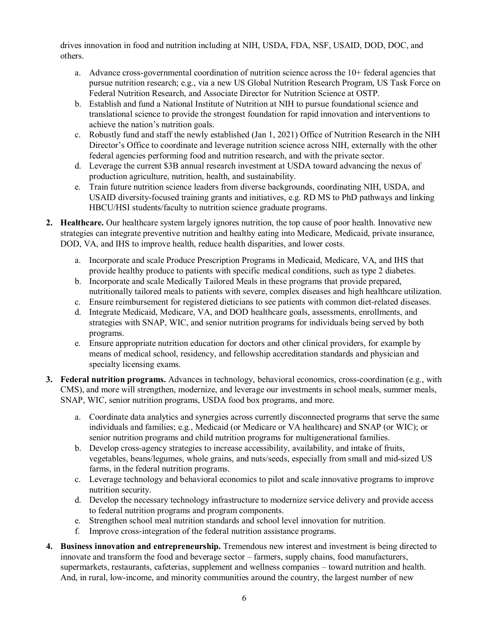drives innovation in food and nutrition including at NIH, USDA, FDA, NSF, USAID, DOD, DOC, and others.

- a. Advance cross-governmental coordination of nutrition science across the 10+ federal agencies that pursue nutrition research; e.g., via a new US Global Nutrition Research Program, US Task Force on Federal Nutrition Research, and Associate Director for Nutrition Science at OSTP.
- b. Establish and fund a National Institute of Nutrition at NIH to pursue foundational science and translational science to provide the strongest foundation for rapid innovation and interventions to achieve the nation's nutrition goals.
- c. Robustly fund and staff the newly established (Jan 1, 2021) Office of Nutrition Research in the NIH Director's Office to coordinate and leverage nutrition science across NIH, externally with the other federal agencies performing food and nutrition research, and with the private sector.
- d. Leverage the current \$3B annual research investment at USDA toward advancing the nexus of production agriculture, nutrition, health, and sustainability.
- e. Train future nutrition science leaders from diverse backgrounds, coordinating NIH, USDA, and USAID diversity-focused training grants and initiatives, e.g. RD MS to PhD pathways and linking HBCU/HSI students/faculty to nutrition science graduate programs.
- **2. Healthcare.** Our healthcare system largely ignores nutrition, the top cause of poor health. Innovative new strategies can integrate preventive nutrition and healthy eating into Medicare, Medicaid, private insurance, DOD, VA, and IHS to improve health, reduce health disparities, and lower costs.
	- a. Incorporate and scale Produce Prescription Programs in Medicaid, Medicare, VA, and IHS that provide healthy produce to patients with specific medical conditions, such as type 2 diabetes.
	- b. Incorporate and scale Medically Tailored Meals in these programs that provide prepared, nutritionally tailored meals to patients with severe, complex diseases and high healthcare utilization.
	- c. Ensure reimbursement for registered dieticians to see patients with common diet-related diseases.
	- d. Integrate Medicaid, Medicare, VA, and DOD healthcare goals, assessments, enrollments, and strategies with SNAP, WIC, and senior nutrition programs for individuals being served by both programs.
	- e. Ensure appropriate nutrition education for doctors and other clinical providers, for example by means of medical school, residency, and fellowship accreditation standards and physician and specialty licensing exams.
- **3. Federal nutrition programs.** Advances in technology, behavioral economics, cross-coordination (e.g., with CMS), and more will strengthen, modernize, and leverage our investments in school meals, summer meals, SNAP, WIC, senior nutrition programs, USDA food box programs, and more.
	- a. Coordinate data analytics and synergies across currently disconnected programs that serve the same individuals and families; e.g., Medicaid (or Medicare or VA healthcare) and SNAP (or WIC); or senior nutrition programs and child nutrition programs for multigenerational families.
	- b. Develop cross-agency strategies to increase accessibility, availability, and intake of fruits, vegetables, beans/legumes, whole grains, and nuts/seeds, especially from small and mid-sized US farms, in the federal nutrition programs.
	- c. Leverage technology and behavioral economics to pilot and scale innovative programs to improve nutrition security.
	- d. Develop the necessary technology infrastructure to modernize service delivery and provide access to federal nutrition programs and program components.
	- e. Strengthen school meal nutrition standards and school level innovation for nutrition.
	- f. Improve cross-integration of the federal nutrition assistance programs.
- **4. Business innovation and entrepreneurship.** Tremendous new interest and investment is being directed to innovate and transform the food and beverage sector – farmers, supply chains, food manufacturers, supermarkets, restaurants, cafeterias, supplement and wellness companies – toward nutrition and health. And, in rural, low-income, and minority communities around the country, the largest number of new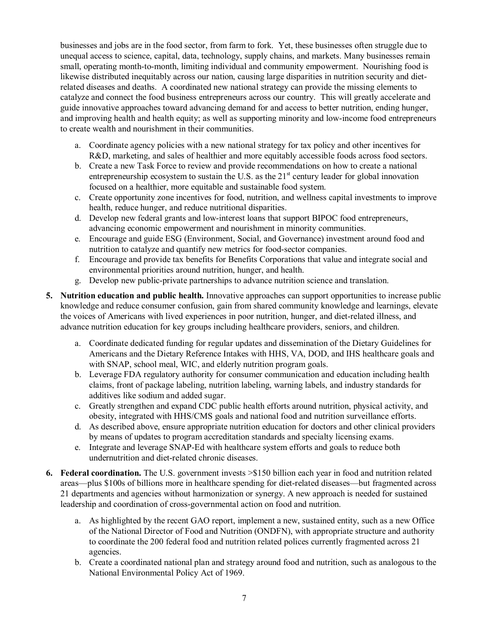businesses and jobs are in the food sector, from farm to fork. Yet, these businesses often struggle due to unequal access to science, capital, data, technology, supply chains, and markets. Many businesses remain small, operating month-to-month, limiting individual and community empowerment. Nourishing food is likewise distributed inequitably across our nation, causing large disparities in nutrition security and dietrelated diseases and deaths. A coordinated new national strategy can provide the missing elements to catalyze and connect the food business entrepreneurs across our country. This will greatly accelerate and guide innovative approaches toward advancing demand for and access to better nutrition, ending hunger, and improving health and health equity; as well as supporting minority and low-income food entrepreneurs to create wealth and nourishment in their communities.

- a. Coordinate agency policies with a new national strategy for tax policy and other incentives for R&D, marketing, and sales of healthier and more equitably accessible foods across food sectors.
- b. Create a new Task Force to review and provide recommendations on how to create a national entrepreneurship ecosystem to sustain the U.S. as the  $21<sup>st</sup>$  century leader for global innovation focused on a healthier, more equitable and sustainable food system.
- c. Create opportunity zone incentives for food, nutrition, and wellness capital investments to improve health, reduce hunger, and reduce nutritional disparities.
- d. Develop new federal grants and low-interest loans that support BIPOC food entrepreneurs, advancing economic empowerment and nourishment in minority communities.
- e. Encourage and guide ESG (Environment, Social, and Governance) investment around food and nutrition to catalyze and quantify new metrics for food-sector companies.
- f. Encourage and provide tax benefits for Benefits Corporations that value and integrate social and environmental priorities around nutrition, hunger, and health.
- g. Develop new public-private partnerships to advance nutrition science and translation.
- **5. Nutrition education and public health.** Innovative approaches can support opportunities to increase public knowledge and reduce consumer confusion, gain from shared community knowledge and learnings, elevate the voices of Americans with lived experiences in poor nutrition, hunger, and diet-related illness, and advance nutrition education for key groups including healthcare providers, seniors, and children.
	- a. Coordinate dedicated funding for regular updates and dissemination of the Dietary Guidelines for Americans and the Dietary Reference Intakes with HHS, VA, DOD, and IHS healthcare goals and with SNAP, school meal, WIC, and elderly nutrition program goals.
	- b. Leverage FDA regulatory authority for consumer communication and education including health claims, front of package labeling, nutrition labeling, warning labels, and industry standards for additives like sodium and added sugar.
	- c. Greatly strengthen and expand CDC public health efforts around nutrition, physical activity, and obesity, integrated with HHS/CMS goals and national food and nutrition surveillance efforts.
	- d. As described above, ensure appropriate nutrition education for doctors and other clinical providers by means of updates to program accreditation standards and specialty licensing exams.
	- e. Integrate and leverage SNAP-Ed with healthcare system efforts and goals to reduce both undernutrition and diet-related chronic diseases.
- **6. Federal coordination.** The U.S. government invests >\$150 billion each year in food and nutrition related areas—plus \$100s of billions more in healthcare spending for diet-related diseases—but fragmented across 21 departments and agencies without harmonization or synergy. A new approach is needed for sustained leadership and coordination of cross-governmental action on food and nutrition.
	- a. As highlighted by the recent GAO report, implement a new, sustained entity, such as a new Office of the National Director of Food and Nutrition (ONDFN), with appropriate structure and authority to coordinate the 200 federal food and nutrition related polices currently fragmented across 21 agencies.
	- b. Create a coordinated national plan and strategy around food and nutrition, such as analogous to the National Environmental Policy Act of 1969.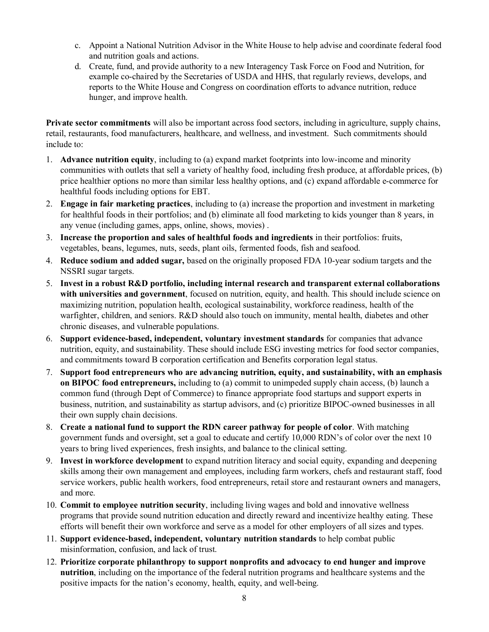- c. Appoint a National Nutrition Advisor in the White House to help advise and coordinate federal food and nutrition goals and actions.
- d. Create, fund, and provide authority to a new Interagency Task Force on Food and Nutrition, for example co-chaired by the Secretaries of USDA and HHS, that regularly reviews, develops, and reports to the White House and Congress on coordination efforts to advance nutrition, reduce hunger, and improve health.

**Private sector commitments** will also be important across food sectors, including in agriculture, supply chains, retail, restaurants, food manufacturers, healthcare, and wellness, and investment. Such commitments should include to:

- 1. **Advance nutrition equity**, including to (a) expand market footprints into low-income and minority communities with outlets that sell a variety of healthy food, including fresh produce, at affordable prices, (b) price healthier options no more than similar less healthy options, and (c) expand affordable e-commerce for healthful foods including options for EBT.
- 2. **Engage in fair marketing practices**, including to (a) increase the proportion and investment in marketing for healthful foods in their portfolios; and (b) eliminate all food marketing to kids younger than 8 years, in any venue (including games, apps, online, shows, movies) .
- 3. **Increase the proportion and sales of healthful foods and ingredients** in their portfolios: fruits, vegetables, beans, legumes, nuts, seeds, plant oils, fermented foods, fish and seafood.
- 4. **Reduce sodium and added sugar,** based on the originally proposed FDA 10-year sodium targets and the NSSRI sugar targets.
- 5. **Invest in a robust R&D portfolio, including internal research and transparent external collaborations with universities and government**, focused on nutrition, equity, and health. This should include science on maximizing nutrition, population health, ecological sustainability, workforce readiness, health of the warfighter, children, and seniors. R&D should also touch on immunity, mental health, diabetes and other chronic diseases, and vulnerable populations.
- 6. **Support evidence-based, independent, voluntary investment standards** for companies that advance nutrition, equity, and sustainability. These should include ESG investing metrics for food sector companies, and commitments toward B corporation certification and Benefits corporation legal status.
- 7. **Support food entrepreneurs who are advancing nutrition, equity, and sustainability, with an emphasis on BIPOC food entrepreneurs,** including to (a) commit to unimpeded supply chain access, (b) launch a common fund (through Dept of Commerce) to finance appropriate food startups and support experts in business, nutrition, and sustainability as startup advisors, and (c) prioritize BIPOC-owned businesses in all their own supply chain decisions.
- 8. **Create a national fund to support the RDN career pathway for people of color**. With matching government funds and oversight, set a goal to educate and certify 10,000 RDN's of color over the next 10 years to bring lived experiences, fresh insights, and balance to the clinical setting.
- 9. **Invest in workforce development** to expand nutrition literacy and social equity, expanding and deepening skills among their own management and employees, including farm workers, chefs and restaurant staff, food service workers, public health workers, food entrepreneurs, retail store and restaurant owners and managers, and more.
- 10. **Commit to employee nutrition security**, including living wages and bold and innovative wellness programs that provide sound nutrition education and directly reward and incentivize healthy eating. These efforts will benefit their own workforce and serve as a model for other employers of all sizes and types.
- 11. **Support evidence-based, independent, voluntary nutrition standards** to help combat public misinformation, confusion, and lack of trust.
- 12. **Prioritize corporate philanthropy to support nonprofits and advocacy to end hunger and improve nutrition**, including on the importance of the federal nutrition programs and healthcare systems and the positive impacts for the nation's economy, health, equity, and well-being.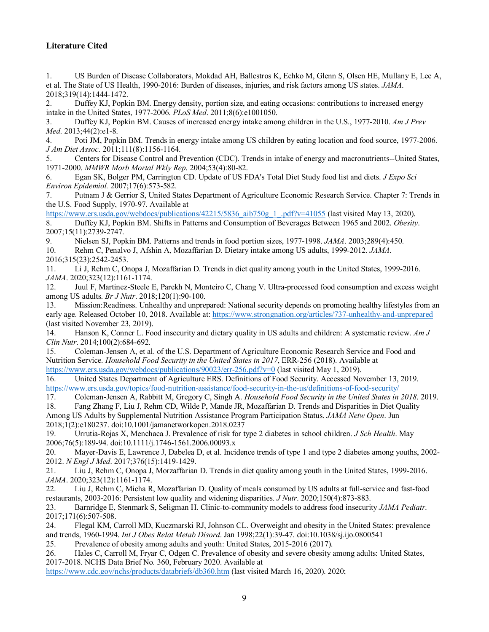# **Literature Cited**

1. US Burden of Disease Collaborators, Mokdad AH, Ballestros K, Echko M, Glenn S, Olsen HE, Mullany E, Lee A, et al. The State of US Health, 1990-2016: Burden of diseases, injuries, and risk factors among US states. *JAMA*. 2018;319(14):1444-1472.

2. Duffey KJ, Popkin BM. Energy density, portion size, and eating occasions: contributions to increased energy intake in the United States, 1977-2006. *PLoS Med*. 2011;8(6):e1001050.

3. Duffey KJ, Popkin BM. Causes of increased energy intake among children in the U.S., 1977-2010. *Am J Prev Med*. 2013;44(2):e1-8.

4. Poti JM, Popkin BM. Trends in energy intake among US children by eating location and food source, 1977-2006. *J Am Diet Assoc.* 2011;111(8):1156-1164.

5. Centers for Disease Control and Prevention (CDC). Trends in intake of energy and macronutrients--United States, 1971-2000. *MMWR Morb Mortal Wkly Rep*. 2004;53(4):80-82.

6. Egan SK, Bolger PM, Carrington CD. Update of US FDA's Total Diet Study food list and diets. *J Expo Sci Environ Epidemiol.* 2007;17(6):573-582.

7. Putnam J & Gerrior S, United States Department of Agriculture Economic Research Service. Chapter 7: Trends in the U.S. Food Supply, 1970-97. Available at

[https://www.ers.usda.gov/webdocs/publications/42215/5836\\_aib750g\\_1\\_.pdf?v=41055](https://www.ers.usda.gov/webdocs/publications/42215/5836_aib750g_1_.pdf?v=41055) (last visited May 13, 2020). 8. Duffey KJ, Popkin BM. Shifts in Patterns and Consumption of Beverages Between 1965 and 2002. *Obesity*.

2007;15(11):2739-2747.<br>9. Nielsen SJ, Pop. 9. Nielsen SJ, Popkin BM. Patterns and trends in food portion sizes, 1977-1998. *JAMA*. 2003;289(4):450.

10. Rehm C, Penalvo J, Afshin A, Mozaffarian D. Dietary intake among US adults, 1999-2012. *JAMA*. 2016;315(23):2542-2453.

11. Li J, Rehm C, Onopa J, Mozaffarian D. Trends in diet quality among youth in the United States, 1999-2016. *JAMA*. 2020;323(12):1161-1174.

12. Juul F, Martinez-Steele E, Parekh N, Monteiro C, Chang V. Ultra-processed food consumption and excess weight among US adults. *Br J Nutr*. 2018;120(1):90-100.

13. Mission:Readiness. Unhealthy and unprepared: National security depends on promoting healthy lifestyles from an early age. Released October 10, 2018. Available at:<https://www.strongnation.org/articles/737-unhealthy-and-unprepared> (last visited November 23, 2019).

14. Hanson K, Conner L. Food insecurity and dietary quality in US adults and children: A systematic review. *Am J Clin Nutr*. 2014;100(2):684-692.

15. Coleman-Jensen A, et al. of the U.S. Department of Agriculture Economic Research Service and Food and Nutrition Service. *Household Food Security in the United States in 2017*, ERR-256 (2018). Available at <https://www.ers.usda.gov/webdocs/publications/90023/err-256.pdf?v=0> (last visited May 1, 2019).

16. United States Department of Agriculture ERS. Definitions of Food Security. Accessed November 13, 2019. <https://www.ers.usda.gov/topics/food-nutrition-assistance/food-security-in-the-us/definitions-of-food-security/>

17. Coleman-Jensen A, Rabbitt M, Gregory C, Singh A. *Household Food Security in the United States in 2018*. 2019.

18. Fang Zhang F, Liu J, Rehm CD, Wilde P, Mande JR, Mozaffarian D. Trends and Disparities in Diet Quality Among US Adults by Supplemental Nutrition Assistance Program Participation Status. *JAMA Netw Open*. Jun 2018;1(2):e180237. doi:10.1001/jamanetworkopen.2018.0237

19. Urrutia-Rojas X, Menchaca J. Prevalence of risk for type 2 diabetes in school children. *J Sch Health*. May 2006;76(5):189-94. doi:10.1111/j.1746-1561.2006.00093.x

20. Mayer-Davis E, Lawrence J, Dabelea D, et al. Incidence trends of type 1 and type 2 diabetes among youths, 2002- 2012. *N Engl J Med*. 2017;376(15):1419-1429.

21. Liu J, Rehm C, Onopa J, Morzaffarian D. Trends in diet quality among youth in the United States, 1999-2016. *JAMA*. 2020;323(12):1161-1174.

22. Liu J, Rehm C, Micha R, Mozaffarian D. Quality of meals consumed by US adults at full-service and fast-food restaurants, 2003-2016: Persistent low quality and widening disparities. *J Nutr*. 2020;150(4):873-883.

23. Barnridge E, Stenmark S, Seligman H. Clinic-to-community models to address food insecurity *JAMA Pediatr*. 2017;171(6):507-508.

24. Flegal KM, Carroll MD, Kuczmarski RJ, Johnson CL. Overweight and obesity in the United States: prevalence and trends, 1960-1994. *Int J Obes Relat Metab Disord*. Jan 1998;22(1):39-47. doi:10.1038/sj.ijo.0800541<br>25. Prevalence of obesity among adults and youth: United States, 2015-2016 (2017).

Prevalence of obesity among adults and youth: United States, 2015-2016 (2017).

26. Hales C, Carroll M, Fryar C, Odgen C. Prevalence of obesity and severe obesity among adults: United States, 2017-2018. NCHS Data Brief No. 360, February 2020. Available at

<https://www.cdc.gov/nchs/products/databriefs/db360.htm> (last visited March 16, 2020). 2020;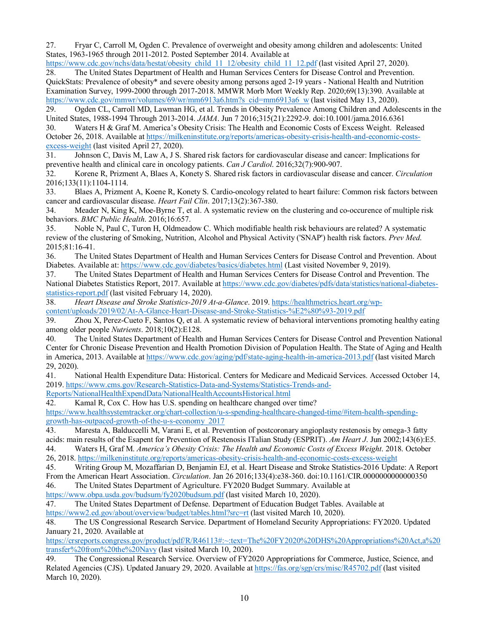27. Fryar C, Carroll M, Ogden C. Prevalence of overweight and obesity among children and adolescents: United States, 1963-1965 through 2011-2012. Posted September 2014. Available at

[https://www.cdc.gov/nchs/data/hestat/obesity\\_child\\_11\\_12/obesity\\_child\\_11\\_12.pdf](https://www.cdc.gov/nchs/data/hestat/obesity_child_11_12/obesity_child_11_12.pdf) (last visited April 27, 2020). 28. The United States Department of Health and Human Services Centers for Disease Control and Prevention. QuickStats: Prevalence of obesity\* and severe obesity among persons aged 2-19 years - National Health and Nutrition

Examination Survey, 1999-2000 through 2017-2018. MMWR Morb Mort Weekly Rep. 2020;69(13):390. Available at [https://www.cdc.gov/mmwr/volumes/69/wr/mm6913a6.htm?s\\_cid=mm6913a6\\_w](https://www.cdc.gov/mmwr/volumes/69/wr/mm6913a6.htm?s_cid=mm6913a6_w) (last visited May 13, 2020).

29. Ogden CL, Carroll MD, Lawman HG, et al. Trends in Obesity Prevalence Among Children and Adolescents in the United States, 1988-1994 Through 2013-2014. *JAMA*. Jun 7 2016;315(21):2292-9. doi:10.1001/jama.2016.6361

30. Waters H & Graf M. America's Obesity Crisis: The Health and Economic Costs of Excess Weight. Released October 26, 2018. Available a[t https://milkeninstitute.org/reports/americas-obesity-crisis-health-and-economic-costs](https://milkeninstitute.org/reports/americas-obesity-crisis-health-and-economic-costs-excess-weight)[excess-weight](https://milkeninstitute.org/reports/americas-obesity-crisis-health-and-economic-costs-excess-weight) (last visited April 27, 2020).

31. Johnson C, Davis M, Law A, J S. Shared risk factors for cardiovascular disease and cancer: Implications for preventive health and clinical care in oncology patients. *Can J Cardiol*. 2016;32(7):900-907.<br>32. Korene R, Prizment A, Blaes A, Konety S. Shared risk factors in cardiovascular dise

32. Korene R, Prizment A, Blaes A, Konety S. Shared risk factors in cardiovascular disease and cancer. *Circulation*  2016;133(11):1104-1114.

33. Blaes A, Prizment A, Koene R, Konety S. Cardio-oncology related to heart failure: Common risk factors between cancer and cardiovascular disease. *Heart Fail Clin*. 2017;13(2):367-380.

34. Meader N, King K, Moe-Byrne T, et al. A systematic review on the clustering and co-occurence of multiple risk behaviors. *BMC Public Health*. 2016;16:657.

35. Noble N, Paul C, Turon H, Oldmeadow C. Which modifiable health risk behaviours are related? A systematic review of the clustering of Smoking, Nutrition, Alcohol and Physical Activity ('SNAP') health risk factors. *Prev Med*. 2015;81:16-41.

36. The United States Department of Health and Human Services Centers for Disease Control and Prevention. About Diabetes. Available at[: https://www.cdc.gov/diabetes/basics/diabetes.html](https://www.cdc.gov/diabetes/basics/diabetes.html) (Last visited November 9, 2019).

37. The United States Department of Health and Human Services Centers for Disease Control and Prevention. The National Diabetes Statistics Report, 2017. Available at [https://www.cdc.gov/diabetes/pdfs/data/statistics/national-diabetes](https://www.cdc.gov/diabetes/pdfs/data/statistics/national-diabetes-statistics-report.pdf)[statistics-report.pdf](https://www.cdc.gov/diabetes/pdfs/data/statistics/national-diabetes-statistics-report.pdf) (last visited February 14, 2020).

38. *Heart Disease and Stroke Statistics-2019 At-a-Glance*. 2019[. https://healthmetrics.heart.org/wp](https://healthmetrics.heart.org/wp-content/uploads/2019/02/At-A-Glance-Heart-Disease-and-Stroke-Statistics-%E2%80%93-2019.pdf)[content/uploads/2019/02/At-A-Glance-Heart-Disease-and-Stroke-Statistics-%E2%80%93-2019.pdf](https://healthmetrics.heart.org/wp-content/uploads/2019/02/At-A-Glance-Heart-Disease-and-Stroke-Statistics-%E2%80%93-2019.pdf)

39. Zhou X, Perez-Cueto F, Santos Q, et al. A systematic review of behavioral interventions promoting healthy eating among older people *Nutrients*. 2018;10(2):E128.

40. The United States Department of Health and Human Services Centers for Disease Control and Prevention National Center for Chronic Disease Prevention and Health Promotion Division of Population Health. The State of Aging and Health in America, 2013. Available a[t https://www.cdc.gov/aging/pdf/state-aging-health-in-america-2013.pdf](https://www.cdc.gov/aging/pdf/state-aging-health-in-america-2013.pdf) (last visited March 29, 2020).

41. National Health Expenditure Data: Historical. Centers for Medicare and Medicaid Services. Accessed October 14, 2019[. https://www.cms.gov/Research-Statistics-Data-and-Systems/Statistics-Trends-and-](https://www.cms.gov/Research-Statistics-Data-and-Systems/Statistics-Trends-and-Reports/NationalHealthExpendData/NationalHealthAccountsHistorical.html)

[Reports/NationalHealthExpendData/NationalHealthAccountsHistorical.html](https://www.cms.gov/Research-Statistics-Data-and-Systems/Statistics-Trends-and-Reports/NationalHealthExpendData/NationalHealthAccountsHistorical.html)

42. Kamal R, Cox C. How has U.S. spending on healthcare changed over time?

[https://www.healthsystemtracker.org/chart-collection/u-s-spending-healthcare-changed-time/#item-health-spending](https://www.healthsystemtracker.org/chart-collection/u-s-spending-healthcare-changed-time/#item-health-spending-growth-has-outpaced-growth-of-the-u-s-economy_2017)[growth-has-outpaced-growth-of-the-u-s-economy\\_2017](https://www.healthsystemtracker.org/chart-collection/u-s-spending-healthcare-changed-time/#item-health-spending-growth-has-outpaced-growth-of-the-u-s-economy_2017)

43. Maresta A, Balduccelli M, Varani E, et al. Prevention of postcoronary angioplasty restenosis by omega-3 fatty acids: main results of the Esapent for Prevention of Restenosis ITalian Study (ESPRIT). *Am Heart J*. Jun 2002;143(6):E5. 44. Waters H, Graf M. *America's Obesity Crisis: The Health and Economic Costs of Excess Weight*. 2018. October

26, 2018[. https://milkeninstitute.org/reports/americas-obesity-crisis-health-and-economic-costs-excess-weight](https://milkeninstitute.org/reports/americas-obesity-crisis-health-and-economic-costs-excess-weight)

45. Writing Group M, Mozaffarian D, Benjamin EJ, et al. Heart Disease and Stroke Statistics-2016 Update: A Report From the American Heart Association. *Circulation*. Jan 26 2016;133(4):e38-360. doi:10.1161/CIR.0000000000000350

46. The United States Department of Agriculture. FY2020 Budget Summary. Available at

<https://www.obpa.usda.gov/budsum/fy2020budsum.pdf> (last visited March 10, 2020).

47. The United States Department of Defense. Department of Education Budget Tables. Available at <https://www2.ed.gov/about/overview/budget/tables.html?src=rt> (last visited March 10, 2020).

48. The US Congressional Research Service. Department of Homeland Security Appropriations: FY2020. Updated January 21, 2020. Available at

[https://crsreports.congress.gov/product/pdf/R/R46113#:~:text=The%20FY2020%20DHS%20Appropriations%20Act,a%20](https://crsreports.congress.gov/product/pdf/R/R46113#:%7E:text=The%20FY2020%20DHS%20Appropriations%20Act,a%20transfer%20from%20the%20Navy) [transfer%20from%20the%20Navy](https://crsreports.congress.gov/product/pdf/R/R46113#:%7E:text=The%20FY2020%20DHS%20Appropriations%20Act,a%20transfer%20from%20the%20Navy) (last visited March 10, 2020).

49. The Congressional Research Service. Overview of FY2020 Appropriations for Commerce, Justice, Science, and Related Agencies (CJS). Updated January 29, 2020. Available at<https://fas.org/sgp/crs/misc/R45702.pdf> (last visited March 10, 2020).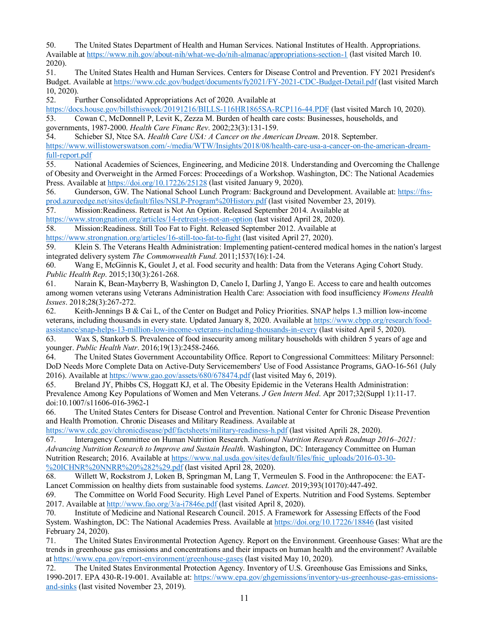50. The United States Department of Health and Human Services. National Institutes of Health. Appropriations. Available a[t https://www.nih.gov/about-nih/what-we-do/nih-almanac/appropriations-section-1](https://www.nih.gov/about-nih/what-we-do/nih-almanac/appropriations-section-1) (last visited March 10.

2020). 51. The United States Health and Human Services. Centers for Disease Control and Prevention. FY 2021 President's Budget. Available a[t https://www.cdc.gov/budget/documents/fy2021/FY-2021-CDC-Budget-Detail.pdf](https://www.cdc.gov/budget/documents/fy2021/FY-2021-CDC-Budget-Detail.pdf) (last visited March 10, 2020).

52. Further Consolidated Appropriations Act of 2020. Available at

<https://docs.house.gov/billsthisweek/20191216/BILLS-116HR1865SA-RCP116-44.PDF> (last visited March 10, 2020). 53. Cowan C, McDonnell P, Levit K, Zezza M. Burden of health care costs: Businesses, households, and governments, 1987-2000. *Health Care Financ Rev*. 2002;23(3):131-159.

54. Schieber SJ, Ntce SA. *Health Care USA: A Cancer on the American Dream*. 2018. September. [https://www.willistowerswatson.com/-/media/WTW/Insights/2018/08/health-care-usa-a-cancer-on-the-american-dream](https://www.willistowerswatson.com/-/media/WTW/Insights/2018/08/health-care-usa-a-cancer-on-the-american-dream-full-report.pdf)[full-report.pdf](https://www.willistowerswatson.com/-/media/WTW/Insights/2018/08/health-care-usa-a-cancer-on-the-american-dream-full-report.pdf)

55. National Academies of Sciences, Engineering, and Medicine 2018. Understanding and Overcoming the Challenge of Obesity and Overweight in the Armed Forces: Proceedings of a Workshop. Washington, DC: The National Academies Press. Available at<https://doi.org/10.17226/25128> (last visited January 9, 2020).

56. Gunderson, GW. The National School Lunch Program: Background and Development. Available at: [https://fns](https://fns-prod.azureedge.net/sites/default/files/NSLP-Program%20History.pdf)[prod.azureedge.net/sites/default/files/NSLP-Program%20History.pdf](https://fns-prod.azureedge.net/sites/default/files/NSLP-Program%20History.pdf) (last visited November 23, 2019).

57. Mission:Readiness. Retreat is Not An Option. Released September 2014. Available at

<https://www.strongnation.org/articles/14-retreat-is-not-an-option> (last visited April 28, 2020).

58. Mission:Readiness. Still Too Fat to Fight. Released September 2012. Available at

<https://www.strongnation.org/articles/16-still-too-fat-to-fight> (last visited April 27, 2020).

59. Klein S. The Veterans Health Administration: Implementing patient-centered medical homes in the nation's largest integrated delivery system *The Commonwealth Fund*. 2011;1537(16):1-24.

60. Wang E, McGinnis K, Goulet J, et al. Food security and health: Data from the Veterans Aging Cohort Study. *Public Health Rep*. 2015;130(3):261-268.

61. Narain K, Bean-Mayberry B, Washington D, Canelo I, Darling J, Yango E. Access to care and health outcomes among women veterans using Veterans Administration Health Care: Association with food insufficiency *Womens Health Issues*. 2018;28(3):267-272.

62. Keith-Jennings B & Cai L, of the Center on Budget and Policy Priorities. SNAP helps 1.3 million low-income veterans, including thousands in every state. Updated January 8, 2020. Available at [https://www.cbpp.org/research/food](https://www.cbpp.org/research/food-assistance/snap-helps-13-million-low-income-veterans-including-thousands-in-every)[assistance/snap-helps-13-million-low-income-veterans-including-thousands-in-every](https://www.cbpp.org/research/food-assistance/snap-helps-13-million-low-income-veterans-including-thousands-in-every) (last visited April 5, 2020).

63. Wax S, Stankorb S. Prevalence of food insecurity among military households with children 5 years of age and younger. *Public Health Nutr*. 2016;19(13):2458-2466.

64. The United States Government Accountability Office. Report to Congressional Committees: Military Personnel: DoD Needs More Complete Data on Active-Duty Servicemembers' Use of Food Assistance Programs, GAO-16-561 (July 2016). Available at<https://www.gao.gov/assets/680/678474.pdf> (last visited May 6, 2019).

65. Breland JY, Phibbs CS, Hoggatt KJ, et al. The Obesity Epidemic in the Veterans Health Administration: Prevalence Among Key Populations of Women and Men Veterans. *J Gen Intern Med*. Apr 2017;32(Suppl 1):11-17. doi:10.1007/s11606-016-3962-1

66. The United States Centers for Disease Control and Prevention. National Center for Chronic Disease Prevention and Health Promotion. Chronic Diseases and Military Readiness. Available at

<https://www.cdc.gov/chronicdisease/pdf/factsheets/military-readiness-h.pdf> (last visited Aprili 28, 2020).

67. Interagency Committee on Human Nutrition Research. *National Nutrition Research Roadmap 2016‒2021: Advancing Nutrition Research to Improve and Sustain Health*. Washington, DC: Interagency Committee on Human Nutrition Research; 2016. Available at [https://www.nal.usda.gov/sites/default/files/fnic\\_uploads/2016-03-30-](https://www.nal.usda.gov/sites/default/files/fnic_uploads/2016-03-30-%20ICHNR%20NNRR%20%282%29.pdf) [%20ICHNR%20NNRR%20%282%29.pdf](https://www.nal.usda.gov/sites/default/files/fnic_uploads/2016-03-30-%20ICHNR%20NNRR%20%282%29.pdf) (last visited April 28, 2020).

68. Willett W, Rockstrom J, Loken B, Springman M, Lang T, Vermeulen S. Food in the Anthropocene: the EAT-Lancet Commission on healthy diets from sustainable food systems. *Lancet*. 2019;393(10170):447-492.

69. The Committee on World Food Security. High Level Panel of Experts. Nutrition and Food Systems. September 2017. Available a[t http://www.fao.org/3/a-i7846e.pdf](http://www.fao.org/3/a-i7846e.pdf) (last visited April 8, 2020).

70. Institute of Medicine and National Research Council. 2015. A Framework for Assessing Effects of the Food System. Washington, DC: The National Academies Press. Available a[t https://doi.org/10.17226/18846](https://doi.org/10.17226/18846) (last visited February 24, 2020).

71. The United States Environmental Protection Agency. Report on the Environment. Greenhouse Gases: What are the trends in greenhouse gas emissions and concentrations and their impacts on human health and the environment? Available at<https://www.epa.gov/report-environment/greenhouse-gases> (last visited May 10, 2020).

72. The United States Environmental Protection Agency. Inventory of U.S. Greenhouse Gas Emissions and Sinks, 1990-2017. EPA 430-R-19-001. Available at: [https://www.epa.gov/ghgemissions/inventory-us-greenhouse-gas-emissions](https://www.epa.gov/ghgemissions/inventory-us-greenhouse-gas-emissions-and-sinks)[and-sinks](https://www.epa.gov/ghgemissions/inventory-us-greenhouse-gas-emissions-and-sinks) (last visited November 23, 2019).